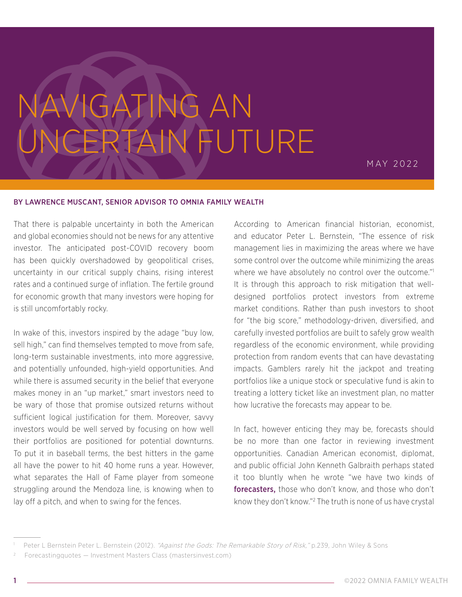## NAVIGATING AN UNCERTAIN FUTURE

MAY 2022

## BY LAWRENCE MUSCANT, SENIOR ADVISOR TO OMNIA FAMILY WEALTH

That there is palpable uncertainty in both the American and global economies should not be news for any attentive investor. The anticipated post-COVID recovery boom has been quickly overshadowed by geopolitical crises, uncertainty in our critical supply chains, rising interest rates and a continued surge of inflation. The fertile ground for economic growth that many investors were hoping for is still uncomfortably rocky.

In wake of this, investors inspired by the adage "buy low, sell high," can find themselves tempted to move from safe, long-term sustainable investments, into more aggressive, and potentially unfounded, high-yield opportunities. And while there is assumed security in the belief that everyone makes money in an "up market," smart investors need to be wary of those that promise outsized returns without sufficient logical justification for them. Moreover, savvy investors would be well served by focusing on how well their portfolios are positioned for potential downturns. To put it in baseball terms, the best hitters in the game all have the power to hit 40 home runs a year. However, what separates the Hall of Fame player from someone struggling around the Mendoza line, is knowing when to lay off a pitch, and when to swing for the fences.

According to American financial historian, economist, and educator Peter L. Bernstein, "The essence of risk management lies in maximizing the areas where we have some control over the outcome while minimizing the areas where we have absolutely no control over the outcome."<sup>1</sup> It is through this approach to risk mitigation that welldesigned portfolios protect investors from extreme market conditions. Rather than push investors to shoot for "the big score," methodology-driven, diversified, and carefully invested portfolios are built to safely grow wealth regardless of the economic environment, while providing protection from random events that can have devastating impacts. Gamblers rarely hit the jackpot and treating portfolios like a unique stock or speculative fund is akin to treating a lottery ticket like an investment plan, no matter how lucrative the forecasts may appear to be.

In fact, however enticing they may be, forecasts should be no more than one factor in reviewing investment opportunities. Canadian American economist, diplomat, and public official John Kenneth Galbraith perhaps stated it too bluntly when he wrote "we have two kinds of forecasters, those who don't know, and those who don't know they don't know."2 The truth is none of us have crystal

Peter L Bernstein Peter L. Bernstein (2012). "Against the Gods: The Remarkable Story of Risk," p.239, John Wiley & Sons

Forecastingquotes — Investment Masters Class (mastersinvest.com)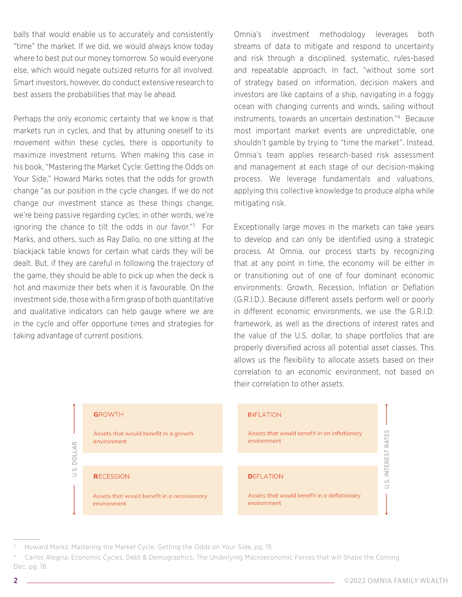balls that would enable us to accurately and consistently "time" the market. If we did, we would always know today where to best put our money tomorrow. So would everyone else, which would negate outsized returns for all involved. Smart investors, however, do conduct extensive research to best assess the probabilities that may lie ahead.

Perhaps the only economic certainty that we know is that markets run in cycles, and that by attuning oneself to its movement within these cycles, there is opportunity to maximize investment returns. When making this case in his book, "Mastering the Market Cycle: Getting the Odds on Your Side," Howard Marks notes that the odds for growth change "as our position in the cycle changes. If we do not change our investment stance as these things change, we're being passive regarding cycles; in other words, we're ignoring the chance to tilt the odds in our favor."3 For Marks, and others, such as Ray Dalio, no one sitting at the blackjack table knows for certain what cards they will be dealt. But, if they are careful in following the trajectory of the game, they should be able to pick up when the deck is hot and maximize their bets when it is favourable. On the investment side, those with a firm grasp of both quantitative and qualitative indicators can help gauge where we are in the cycle and offer opportune times and strategies for taking advantage of current positions.

Omnia's investment methodology leverages both streams of data to mitigate and respond to uncertainty and risk through a disciplined, systematic, rules-based and repeatable approach. In fact, "without some sort of strategy based on information, decision makers and investors are like captains of a ship, navigating in a foggy ocean with changing currents and winds, sailing without instruments, towards an uncertain destination."4 Because most important market events are unpredictable, one shouldn't gamble by trying to "time the market". Instead, Omnia's team applies research-based risk assessment and management at each stage of our decision-making process. We leverage fundamentals and valuations, applying this collective knowledge to produce alpha while mitigating risk.

Exceptionally large moves in the markets can take years to develop and can only be identified using a strategic process. At Omnia, our process starts by recognizing that at any point in time, the economy will be either in or transitioning out of one of four dominant economic environments: Growth, Recession, Inflation or Deflation (G.R.I.D.). Because different assets perform well or poorly in different economic environments, we use the G.R.I.D. framework, as well as the directions of interest rates and the value of the U.S. dollar, to shape portfolios that are properly diversified across all potential asset classes. This allows us the flexibility to allocate assets based on their correlation to an economic environment, not based on their correlation to other assets.



Howard Marks; Mastering the Market Cycle: Getting the Odds on Your Side, pg. 15.

<sup>4</sup> Carlos Alegria; Economic Cycles, Debt & Demographics; The Underlying Macroeconomic Forces that will Shape the Coming Dec, pg. 18.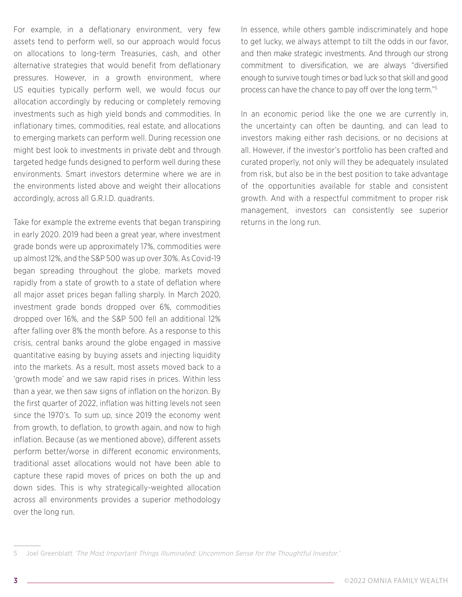For example, in a deflationary environment, very few assets tend to perform well, so our approach would focus on allocations to long-term Treasuries, cash, and other alternative strategies that would benefit from deflationary pressures. However, in a growth environment, where US equities typically perform well, we would focus our allocation accordingly by reducing or completely removing investments such as high yield bonds and commodities. In inflationary times, commodities, real estate, and allocations to emerging markets can perform well. During recession one might best look to investments in private debt and through targeted hedge funds designed to perform well during these environments. Smart investors determine where we are in the environments listed above and weight their allocations accordingly, across all G.R.I.D. quadrants.

Take for example the extreme events that began transpiring in early 2020. 2019 had been a great year, where investment grade bonds were up approximately 17%, commodities were up almost 12%, and the S&P 500 was up over 30%. As Covid-19 began spreading throughout the globe, markets moved rapidly from a state of growth to a state of deflation where all major asset prices began falling sharply. In March 2020, investment grade bonds dropped over 6%, commodities dropped over 16%, and the S&P 500 fell an additional 12% after falling over 8% the month before. As a response to this crisis, central banks around the globe engaged in massive quantitative easing by buying assets and injecting liquidity into the markets. As a result, most assets moved back to a 'growth mode' and we saw rapid rises in prices. Within less than a year, we then saw signs of inflation on the horizon. By the first quarter of 2022, inflation was hitting levels not seen since the 1970's. To sum up, since 2019 the economy went from growth, to deflation, to growth again, and now to high inflation. Because (as we mentioned above), different assets perform better/worse in different economic environments, traditional asset allocations would not have been able to capture these rapid moves of prices on both the up and down sides. This is why strategically-weighted allocation across all environments provides a superior methodology over the long run.

In essence, while others gamble indiscriminately and hope to get lucky, we always attempt to tilt the odds in our favor, and then make strategic investments. And through our strong commitment to diversification, we are always "diversified enough to survive tough times or bad luck so that skill and good process can have the chance to pay off over the long term."5

In an economic period like the one we are currently in, the uncertainty can often be daunting, and can lead to investors making either rash decisions, or no decisions at all. However, if the investor's portfolio has been crafted and curated properly, not only will they be adequately insulated from risk, but also be in the best position to take advantage of the opportunities available for stable and consistent growth. And with a respectful commitment to proper risk management, investors can consistently see superior returns in the long run.

<sup>5</sup> Joel Greenblatt 'The Most Important Things Illuminated: Uncommon Sense for the Thoughtful Investor.'